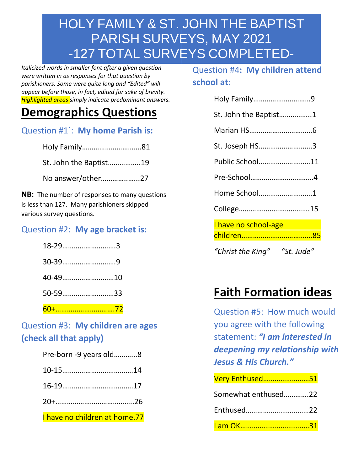*Italicized words in smaller font after a given question were written in as responses for that question by parishioners. Some were quite long and "Edited" will appear before those, in fact, edited for sake of brevity. Highlighted areas simply indicate predominant answers.*

## **Demographics Questions**

Question #1`: **My home Parish is:**

Holy Family………………………….81

St. John the Baptist……………..19

No answer/other…………..…...27

**NB:** The number of responses to many questions is less than 127. Many parishioners skipped various survey questions.

#### Question #2: **My age bracket is:**

| 18-293  |  |
|---------|--|
|         |  |
| 40-4910 |  |
| 50-5933 |  |
|         |  |

60+………………………….72

#### Question #3: **My children are ages (check all that apply)**

| Pre-born -9 years old8        |
|-------------------------------|
|                               |
|                               |
|                               |
| I have no children at home.77 |

Question #4**: My children attend school at:**

| Holy Family9                 |  |
|------------------------------|--|
| St. John the Baptist1        |  |
|                              |  |
| St. Joseph HS3               |  |
| Public School11              |  |
|                              |  |
| Home School1                 |  |
|                              |  |
| I have no school-age         |  |
|                              |  |
| "Christ the King" "St. Jude" |  |

# **Faith Formation ideas**

Question #5: How much would you agree with the following statement: *"I am interested in deepening my relationship with Jesus & His Church."*

| Very Enthused51              |  |
|------------------------------|--|
| Somewhat enthused22          |  |
| Enthused22                   |  |
| <u>l am OK………………………………31</u> |  |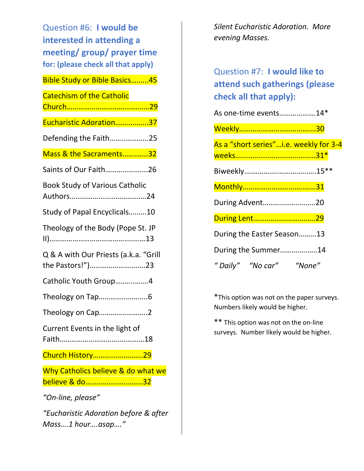Question #6: **I would be interested in attending a meeting/ group/ prayer time for: (please check all that apply)**

| <b>Bible Study or Bible Basics45</b>                      |
|-----------------------------------------------------------|
| <b>Catechism of the Catholic</b>                          |
| Eucharistic Adoration37                                   |
| Defending the Faith25                                     |
| Mass & the Sacraments32                                   |
| Saints of Our Faith26                                     |
| <b>Book Study of Various Catholic</b>                     |
| Study of Papal Encyclicals10                              |
| Theology of the Body (Pope St. JP                         |
| Q & A with Our Priests (a.k.a. "Grill<br>the Pastors!")23 |
| Catholic Youth Group4                                     |
|                                                           |
| Theology on Cap2                                          |
| Current Events in the light of<br>18<br>Faith.            |
| Church History29                                          |
| Why Catholics believe & do what we<br>believe & do32      |
| "On-line, please"                                         |
| "Eucharistic Adoration before & after                     |

*Mass….1 hour….asap…."*

*Silent Eucharistic Adoration. More evening Masses.*

Question #7: **I would like to attend such gatherings (please check all that apply):**

| As one-time events14*                  |  |
|----------------------------------------|--|
|                                        |  |
| As a "short series"i.e. weekly for 3-4 |  |
|                                        |  |
|                                        |  |
|                                        |  |
| During Advent20                        |  |
| During Lent29                          |  |
| During the Easter Season13             |  |
| During the Summer14                    |  |
| "Daily" "No car"<br>"None"             |  |

\*This option was not on the paper surveys. Numbers likely would be higher.

\*\* This option was not on the on-line surveys. Number likely would be higher.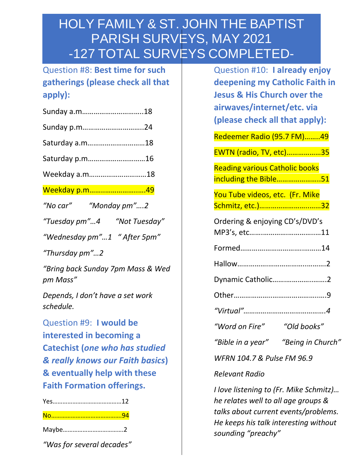Question #8: **Best time for such gatherings (please check all that apply):**

| Sunday a.m18 |  |
|--------------|--|
| Sunday p.m24 |  |

| Saturday a.m18 |  |
|----------------|--|
|                |  |

Saturday p.m…………………………16

Weekday a.m…………………………18

Weekday p.m……..……………..….49

*"No car" "Monday pm"….2*

*"Tuesday pm"…4 "Not Tuesday"*

*"Wednesday pm"…1 " After 5pm"*

*"Thursday pm"…2*

*"Bring back Sunday 7pm Mass & Wed pm Mass"*

*Depends, I don't have a set work schedule.*

Question #9: **I would be interested in becoming a Catechist (***one who has studied & really knows our Faith basics***) & eventually help with these Faith Formation offerings.**

Maybe……………………………….2

*"Was for several decades"*

| Question #10: I already enjoy<br>deepening my Catholic Faith in<br><b>Jesus &amp; His Church over the</b><br>airwaves/internet/etc. via<br>(please check all that apply): |
|---------------------------------------------------------------------------------------------------------------------------------------------------------------------------|
| Redeemer Radio (95.7 FM)49                                                                                                                                                |
| EWTN (radio, TV, etc)35                                                                                                                                                   |
| <b>Reading various Catholic books</b><br>including the Bible51                                                                                                            |
| You Tube videos, etc. (Fr. Mike<br>Schmitz, etc.)32                                                                                                                       |
| Ordering & enjoying CD's/DVD's                                                                                                                                            |
|                                                                                                                                                                           |
|                                                                                                                                                                           |
| Dynamic Catholic2                                                                                                                                                         |
|                                                                                                                                                                           |
|                                                                                                                                                                           |
| "Word on Fire" "Old books"                                                                                                                                                |
| "Bible in a year"<br>"Being in Church"                                                                                                                                    |
| WFRN 104.7 & Pulse FM 96.9                                                                                                                                                |
| Relevant Radio                                                                                                                                                            |

*I love listening to (Fr. Mike Schmitz)… he relates well to all age groups & talks about current events/problems. He keeps his talk interesting without sounding "preachy"*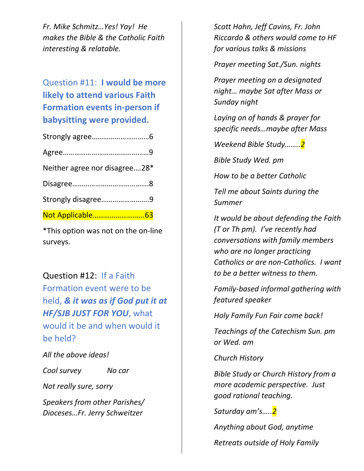*Fr. Mike Schmitz…Yes! Yay! He makes the Bible & the Catholic Faith interesting & relatable.*

### Question #11: **I would be more likely to attend various Faith Formation events in-person if babysitting were provided.**

| Neither agree nor disagree28* |  |
|-------------------------------|--|
|                               |  |
| Strongly disagree9            |  |
| Not Applicable63              |  |

\*This option was not on the on-line surveys.

Question #12: If a Faith Formation event were to be held, *& it was as if God put it at HF/SJB JUST FOR YOU*, what would it be and when would it be held?

*All the above ideas!*

*Cool survey No car*

*Not really sure, sorry*

*Speakers from other Parishes/ Dioceses…Fr. Jerry Schweitzer*

*Scott Hahn, Jeff Cavins, Fr. John Riccardo & others would come to HF for various talks & missions*

*Prayer meeting Sat./Sun. nights*

*Prayer meeting on a designated night… maybe Sat after Mass or Sunday night*

*Laying on of hands & prayer for specific needs…maybe after Mass*

*Weekend Bible Study……..2*

*Bible Study Wed. pm*

*How to be a better Catholic*

*Tell me about Saints during the Summer*

*It would be about defending the Faith (T or Th pm). I've recently had conversations with family members who are no longer practicing Catholics or are non-Catholics. I want to be a better witness to them.*

*Family-based informal gathering with featured speaker*

*Holy Family Fun Fair come back!*

*Teachings of the Catechism Sun. pm or Wed. am*

*Church History*

*Bible Study or Church History from a more academic perspective. Just good rational teaching.*

*Saturday am's…..2*

*Anything about God, anytime*

*Retreats outside of Holy Family*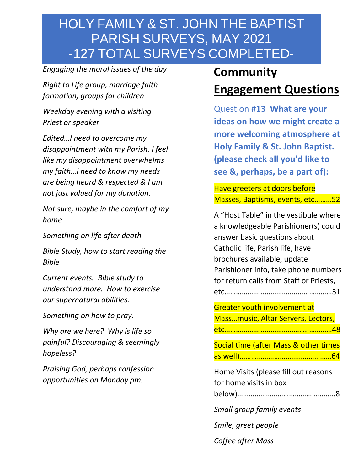*Engaging the moral issues of the day*

*Right to Life group, marriage faith formation, groups for children*

*Weekday evening with a visiting Priest or speaker*

*Edited…I need to overcome my disappointment with my Parish. I feel like my disappointment overwhelms my faith…I need to know my needs are being heard & respected & I am not just valued for my donation.*

*Not sure, maybe in the comfort of my home*

*Something on life after death*

*Bible Study, how to start reading the Bible*

*Current events. Bible study to understand more. How to exercise our supernatural abilities.*

*Something on how to pray.*

*Why are we here? Why is life so painful? Discouraging & seemingly hopeless?*

*Praising God, perhaps confession opportunities on Monday pm.*

## **Community**

## **Engagement Questions**

Question #**13 What are your ideas on how we might create a more welcoming atmosphere at Holy Family & St. John Baptist. (please check all you'd like to see &, perhaps, be a part of):** 

Have greeters at doors before Masses, Baptisms, events, etc………52

A "Host Table" in the vestibule where a knowledgeable Parishioner(s) could answer basic questions about Catholic life, Parish life, have brochures available, update Parishioner info, take phone numbers for return calls from Staff or Priests, etc………………………………..………………31

Greater youth involvement at Mass…music, Altar Servers, Lectors, etc……………………………………..…………48

Social time (after Mass & other times as well)…………………………………………64

| Home Visits (please fill out reasons |  |
|--------------------------------------|--|
| for home visits in box               |  |
|                                      |  |

*Small group family events*

*Smile, greet people*

*Coffee after Mass*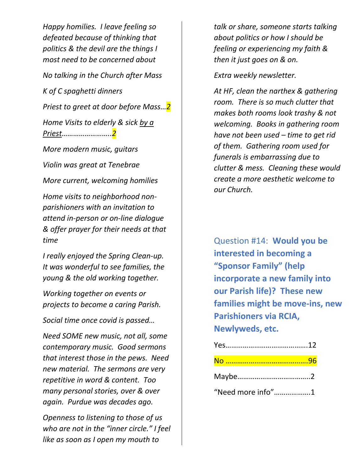*Happy homilies. I leave feeling so defeated because of thinking that politics & the devil are the things I most need to be concerned about No talking in the Church after Mass K of C spaghetti dinners Priest to greet at door before Mass…2 Home Visits to elderly & sick by a Priest……………………..2 More modern music, guitars*

*Violin was great at Tenebrae*

*More current, welcoming homilies*

*Home visits to neighborhood nonparishioners with an invitation to attend in-person or on-line dialogue & offer prayer for their needs at that time*

*I really enjoyed the Spring Clean-up. It was wonderful to see families, the young & the old working together.*

*Working together on events or projects to become a caring Parish.*

*Social time once covid is passed…*

*Need SOME new music, not all, some contemporary music. Good sermons that interest those in the pews. Need new material. The sermons are very repetitive in word & content. Too many personal stories, over & over again. Purdue was decades ago.*

*Openness to listening to those of us who are not in the "inner circle." I feel like as soon as I open my mouth to* 

*talk or share, someone starts talking about politics or how I should be feeling or experiencing my faith & then it just goes on & on.*

*Extra weekly newsletter.*

*At HF, clean the narthex & gathering room. There is so much clutter that makes both rooms look trashy & not welcoming. Books in gathering room have not been used – time to get rid of them. Gathering room used for funerals is embarrassing due to clutter & mess. Cleaning these would create a more aesthetic welcome to our Church.*

Question #14: **Would you be interested in becoming a "Sponsor Family" (help incorporate a new family into our Parish life)? These new families might be move-ins, new Parishioners via RCIA, Newlyweds, etc.**

"Need more info"……………….1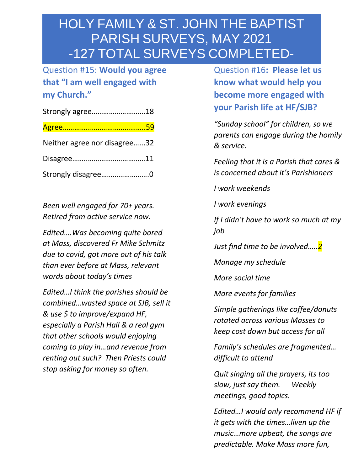Question #15: **Would you agree that "I am well engaged with my Church."**

| Strongly agree18             |  |
|------------------------------|--|
|                              |  |
| Neither agree nor disagree32 |  |
|                              |  |
| Strongly disagree0           |  |

*Been well engaged for 70+ years. Retired from active service now.*

*Edited….Was becoming quite bored at Mass, discovered Fr Mike Schmitz due to covid, got more out of his talk than ever before at Mass, relevant words about today's times*

*Edited…I think the parishes should be combined…wasted space at SJB, sell it & use \$ to improve/expand HF, especially a Parish Hall & a real gym that other schools would enjoying coming to play in…and revenue from renting out such? Then Priests could stop asking for money so often.*

Question #16**: Please let us know what would help you become more engaged with your Parish life at HF/SJB?**

*"Sunday school" for children, so we parents can engage during the homily & service.*

*Feeling that it is a Parish that cares & is concerned about it's Parishioners*

*I work weekends*

*I work evenings*

*If I didn't have to work so much at my job*

*Just find time to be involved…..2*

*Manage my schedule*

*More social time*

*More events for families*

*Simple gatherings like coffee/donuts rotated across various Masses to keep cost down but access for all*

*Family's schedules are fragmented… difficult to attend*

*Quit singing all the prayers, its too slow, just say them. Weekly meetings, good topics.*

*Edited…I would only recommend HF if it gets with the times…liven up the music…more upbeat, the songs are predictable. Make Mass more fun,*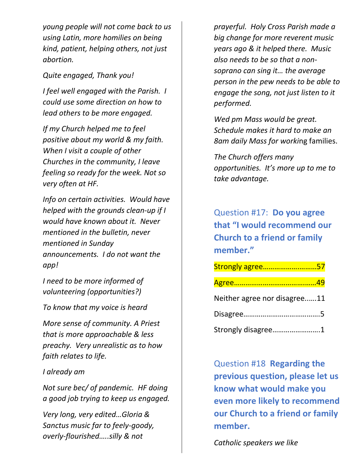*young people will not come back to us using Latin, more homilies on being kind, patient, helping others, not just abortion.*

*Quite engaged, Thank you!*

*I feel well engaged with the Parish. I could use some direction on how to lead others to be more engaged.*

*If my Church helped me to feel positive about my world & my faith. When I visit a couple of other Churches in the community, I leave feeling so ready for the week. Not so very often at HF.*

*Info on certain activities. Would have helped with the grounds clean-up if I would have known about it. Never mentioned in the bulletin, never mentioned in Sunday announcements. I do not want the app!*

*I need to be more informed of volunteering (opportunities?)*

*To know that my voice is heard*

*More sense of community. A Priest that is more approachable & less preachy. Very unrealistic as to how faith relates to life.*

*I already am*

*Not sure bec/ of pandemic. HF doing a good job trying to keep us engaged.*

*Very long, very edited…Gloria & Sanctus music far to feely-goody, overly-flourished…..silly & not* 

*prayerful. Holy Cross Parish made a big change for more reverent music years ago & it helped there. Music also needs to be so that a nonsoprano can sing it… the average person in the pew needs to be able to engage the song, not just listen to it performed.*

*Wed pm Mass would be great. Schedule makes it hard to make an 8am daily Mass for worki*ng families.

*The Church offers many opportunities. It's more up to me to take advantage.*

Question #17: **Do you agree that "I would recommend our Church to a friend or family member."**

| Strongly agree57             |  |
|------------------------------|--|
|                              |  |
| Neither agree nor disagree11 |  |
|                              |  |
| Strongly disagree1           |  |

Question #18 **Regarding the previous question, please let us know what would make you even more likely to recommend our Church to a friend or family member.**

*Catholic speakers we like*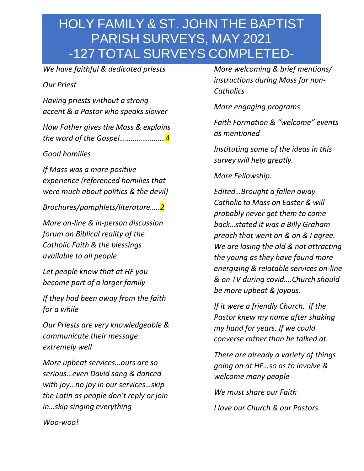*We have faithful & dedicated priests*

#### *Our Priest*

*Having priests without a strong accent & a Pastor who speaks slower*

*How Father gives the Mass & explains the word of the Gospel……………………4*

*Good homilies*

*If Mass was a more positive experience (referenced homilies that were much about politics & the devil)*

*Brochures/pamphlets/literature…..2*

*More on-line & in-person discussion forum on Biblical reality of the Catholic Faith & the blessings available to all people*

*Let people know that at HF you become part of a larger family*

*If they had been away from the faith for a while*

*Our Priests are very knowledgeable & communicate their message extremely well*

*More upbeat services…ours are so serious…even David sang & danced with joy…no joy in our services…skip the Latin as people don't reply or join in…skip singing everything*

*More welcoming & brief mentions/ instructions during Mass for non-Catholics*

*More engaging programs*

*Faith Formation & "welcome" events as mentioned* 

*Instituting some of the ideas in this survey will help greatly.*

*More Fellowship.*

*Edited…Brought a fallen away Catholic to Mass on Easter & will probably never get them to come back…stated it was a Billy Graham preach that went on & on & I agree. We are losing the old & not attracting the young as they have found more energizing & relatable services on-line & on TV during covid….Church should be more upbeat & joyous.*

*If it were a friendly Church. If the Pastor knew my name after shaking my hand for years. If we could converse rather than be talked at.*

*There are already a variety of things going on at HF…so as to involve & welcome many people*

*We must share our Faith*

*I love our Church & our Pastors*

*Woo-woo!*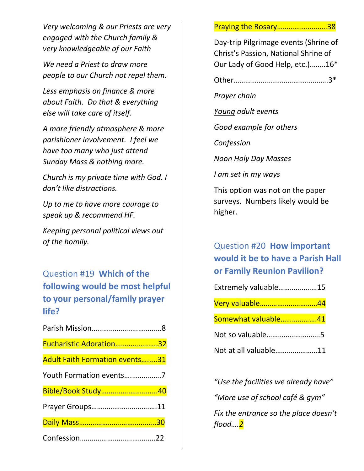*Very welcoming & our Priests are very engaged with the Church family & very knowledgeable of our Faith* 

*We need a Priest to draw more people to our Church not repel them.*

*Less emphasis on finance & more about Faith. Do that & everything else will take care of itself.*

*A more friendly atmosphere & more parishioner involvement. I feel we have too many who just attend Sunday Mass & nothing more.*

*Church is my private time with God. I don't like distractions.*

*Up to me to have more courage to speak up & recommend HF.*

*Keeping personal political views out of the homily.*

Question #19 **Which of the following would be most helpful to your personal/family prayer life?** 

| Eucharistic Adoration32               |  |
|---------------------------------------|--|
| <b>Adult Faith Formation events31</b> |  |
|                                       |  |
| Bible/Book Study40                    |  |
| Prayer Groups11                       |  |
|                                       |  |
|                                       |  |

Praying the Rosary………………..……38

Day-trip Pilgrimage events (Shrine of Christ's Passion, National Shrine of Our Lady of Good Help, etc.).…….16\*

Other……………….……………….….…….3\*

*Prayer chain*

*Young adult events*

*Good example for others*

*Confession*

*Noon Holy Day Masses*

*I am set in my ways*

This option was not on the paper surveys. Numbers likely would be higher.

### Question #20 **How important would it be to have a Parish Hall or Family Reunion Pavilion?**

| Extremely valuable15  |  |
|-----------------------|--|
| Very valuable44       |  |
| Somewhat valuable41   |  |
| Not so valuable5      |  |
| Not at all valuable11 |  |

*"Use the facilities we already have" "More use of school café & gym" Fix the entrance so the place doesn't flood….2*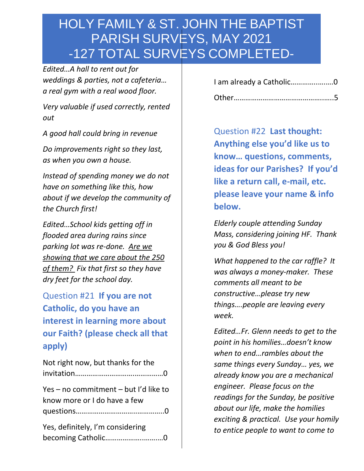*Edited…A hall to rent out for weddings & parties, not a cafeteria… a real gym with a real wood floor.* 

*Very valuable if used correctly, rented out*

*A good hall could bring in revenue*

*Do improvements right so they last, as when you own a house.*

*Instead of spending money we do not have on something like this, how about if we develop the community of the Church first!*

*Edited…School kids getting off in flooded area during rains since parking lot was re-done. Are we showing that we care about the 250 of them? Fix that first so they have dry feet for the school day.*

Question #21 **If you are not Catholic, do you have an interest in learning more about our Faith? (please check all that apply)**

| Not right now, but thanks for the     |  |
|---------------------------------------|--|
|                                       |  |
| Yes - no commitment - but I'd like to |  |
| know more or I do have a few          |  |
|                                       |  |
| Yes, definitely, I'm considering      |  |
| becoming Catholic0                    |  |

| I am already a Catholic0 |  |
|--------------------------|--|
|                          |  |

Question #22 **Last thought: Anything else you'd like us to know… questions, comments, ideas for our Parishes? If you'd like a return call, e-mail, etc. please leave your name & info below.**

*Elderly couple attending Sunday Mass, considering joining HF. Thank you & God Bless you!*

*What happened to the car raffle? It was always a money-maker. These comments all meant to be constructive…please try new things….people are leaving every week.*

*Edited…Fr. Glenn needs to get to the point in his homilies…doesn't know when to end…rambles about the same things every Sunday… yes, we already know you are a mechanical engineer. Please focus on the readings for the Sunday, be positive about our life, make the homilies exciting & practical. Use your homily to entice people to want to come to*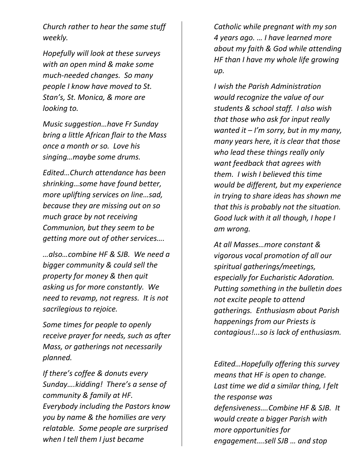*Church rather to hear the same stuff weekly.*

*Hopefully will look at these surveys with an open mind & make some much-needed changes. So many people I know have moved to St. Stan's, St. Monica, & more are looking to.*

*Music suggestion…have Fr Sunday bring a little African flair to the Mass once a month or so. Love his singing…maybe some drums.*

*Edited…Church attendance has been shrinking…some have found better, more uplifting services on line…sad, because they are missing out on so much grace by not receiving Communion, but they seem to be getting more out of other services….* 

*…also…combine HF & SJB. We need a bigger community & could sell the property for money & then quit asking us for more constantly. We need to revamp, not regress. It is not sacrilegious to rejoice.* 

*Some times for people to openly receive prayer for needs, such as after Mass, or gatherings not necessarily planned.*

*If there's coffee & donuts every Sunday….kidding! There's a sense of community & family at HF. Everybody including the Pastors know you by name & the homilies are very relatable. Some people are surprised when I tell them I just became* 

*Catholic while pregnant with my son 4 years ago. … I have learned more about my faith & God while attending HF than I have my whole life growing up.*

*I wish the Parish Administration would recognize the value of our students & school staff. I also wish that those who ask for input really wanted it – I'm sorry, but in my many, many years here, it is clear that those who lead these things really only want feedback that agrees with them. I wish I believed this time would be different, but my experience in trying to share ideas has shown me that this is probably not the situation. Good luck with it all though, I hope I am wrong.*

*At all Masses…more constant & vigorous vocal promotion of all our spiritual gatherings/meetings, especially for Eucharistic Adoration. Putting something in the bulletin does not excite people to attend gatherings. Enthusiasm about Parish happenings from our Priests is contagious!...so is lack of enthusiasm.*

*Edited…Hopefully offering this survey means that HF is open to change. Last time we did a similar thing, I felt the response was defensiveness….Combine HF & SJB. It would create a bigger Parish with more opportunities for engagement….sell SJB … and stop*